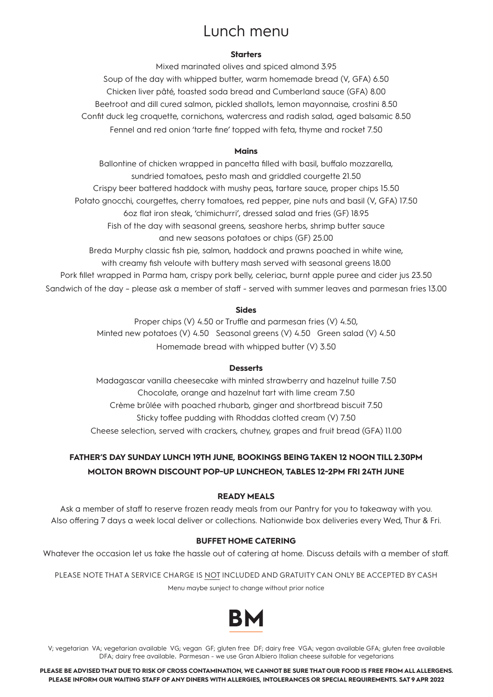# Lunch menu

### **Starters**

Mixed marinated olives and spiced almond 3.95 Soup of the day with whipped butter, warm homemade bread (V, GFA) 6.50 Chicken liver pâté, toasted soda bread and Cumberland sauce (GFA) 8.00 Beetroot and dill cured salmon, pickled shallots, lemon mayonnaise, crostini 8.50 Confit duck leg croquette, cornichons, watercress and radish salad, aged balsamic 8.50 Fennel and red onion 'tarte fine' topped with feta, thyme and rocket 7.50

### **Mains**

Ballontine of chicken wrapped in pancetta filled with basil, buffalo mozzarella, sundried tomatoes, pesto mash and griddled courgette 21.50 Crispy beer battered haddock with mushy peas, tartare sauce, proper chips 15.50 Potato gnocchi, courgettes, cherry tomatoes, red pepper, pine nuts and basil (V, GFA) 17.50 6oz flat iron steak, 'chimichurri', dressed salad and fries (GF) 18.95 Fish of the day with seasonal greens, seashore herbs, shrimp butter sauce and new seasons potatoes or chips (GF) 25.00 Breda Murphy classic fish pie, salmon, haddock and prawns poached in white wine, with creamy fish veloute with buttery mash served with seasonal greens 18.00 Pork fillet wrapped in Parma ham, crispy pork belly, celeriac, burnt apple puree and cider jus 23.50 Sandwich of the day – please ask a member of staff - served with summer leaves and parmesan fries 13.00

#### **Sides**

Proper chips (V) 4.50 or Truffle and parmesan fries (V) 4.50, Minted new potatoes (V) 4.50 Seasonal greens (V) 4.50 Green salad (V) 4.50 Homemade bread with whipped butter (V) 3.50

### **Desserts**

Madagascar vanilla cheesecake with minted strawberry and hazelnut tuille 7.50 Chocolate, orange and hazelnut tart with lime cream 7.50 Crème brûlée with poached rhubarb, ginger and shortbread biscuit 7.50 Sticky toffee pudding with Rhoddas clotted cream (V) 7.50 Cheese selection, served with crackers, chutney, grapes and fruit bread (GFA) 11.00

## **FATHER'S DAY SUNDAY LUNCH 19TH JUNE, BOOKINGS BEING TAKEN 12 NOON TILL 2.30PM MOLTON BROWN DISCOUNT POP-UP LUNCHEON, TABLES 12-2PM FRI 24TH JUNE**

### **READY MEALS**

Ask a member of staff to reserve frozen ready meals from our Pantry for you to takeaway with you. Also offering 7 days a week local deliver or collections. Nationwide box deliveries every Wed, Thur & Fri.

### **BUFFET HOME CATERING**

Whatever the occasion let us take the hassle out of catering at home. Discuss details with a member of staff.

PLEASE NOTE THAT A SERVICE CHARGE IS NOT INCLUDED AND GRATUITY CAN ONLY BE ACCEPTED BY CASH Menu maybe sunject to change without prior notice



V; vegetarian VA; vegetarian available VG; vegan GF; gluten free DF; dairy free VGA; vegan available GFA; gluten free available DFA; dairy free available. Parmesan - we use Gran Albiero Italian cheese suitable for vegetarians

**PLEASE BE ADVISED THAT DUE TO RISK OF CROSS CONTAMINATION, WE CANNOT BE SURE THAT OUR FOOD IS FREE FROM ALL ALLERGENS. PLEASE INFORM OUR WAITING STAFF OF ANY DINERS WITH ALLERGIES, INTOLERANCES OR SPECIAL REQUIREMENTS. SAT 9 APR 2022**